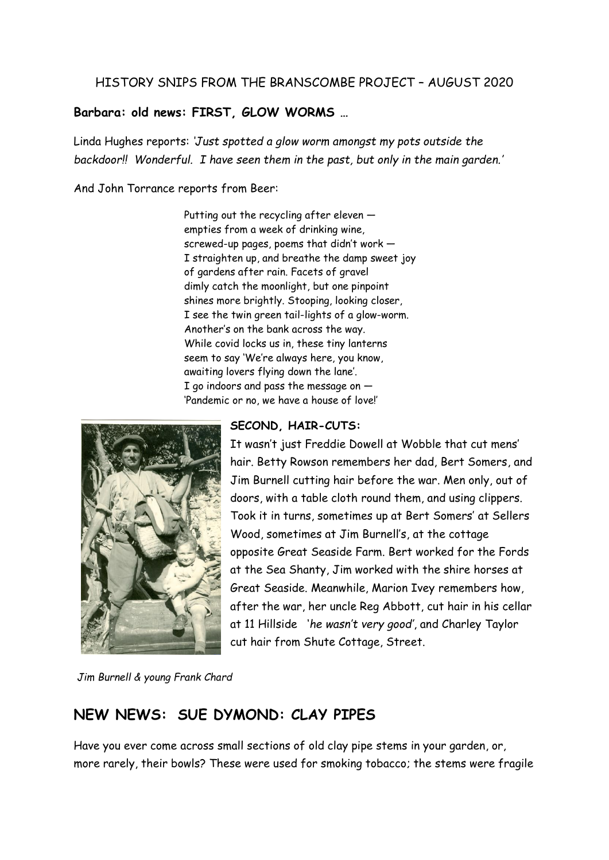## HISTORY SNIPS FROM THE BRANSCOMBE PROJECT – AUGUST 2020

## **Barbara: old news: FIRST, GLOW WORMS …**

Linda Hughes reports: *'Just spotted a glow worm amongst my pots outside the backdoor!! Wonderful. I have seen them in the past, but only in the main garden.'*

And John Torrance reports from Beer:

Putting out the recycling after eleven empties from a week of drinking wine, screwed-up pages, poems that didn't work — I straighten up, and breathe the damp sweet joy of gardens after rain. Facets of gravel dimly catch the moonlight, but one pinpoint shines more brightly. Stooping, looking closer, I see the twin green tail-lights of a glow-worm. Another's on the bank across the way. While covid locks us in, these tiny lanterns seem to say 'We're always here, you know, awaiting lovers flying down the lane'. I go indoors and pass the message on  $-$ 'Pandemic or no, we have a house of love!'



## **SECOND, HAIR-CUTS:**

It wasn't just Freddie Dowell at Wobble that cut mens' hair. Betty Rowson remembers her dad, Bert Somers, and Jim Burnell cutting hair before the war. Men only, out of doors, with a table cloth round them, and using clippers. Took it in turns, sometimes up at Bert Somers' at Sellers Wood, sometimes at Jim Burnell's, at the cottage opposite Great Seaside Farm. Bert worked for the Fords at the Sea Shanty, Jim worked with the shire horses at Great Seaside. Meanwhile, Marion Ivey remembers how, after the war, her uncle Reg Abbott, cut hair in his cellar at 11 Hillside '*he wasn't very good'*, and Charley Taylor cut hair from Shute Cottage, Street.

*Jim Burnell & young Frank Chard*

## **NEW NEWS: SUE DYMOND: CLAY PIPES**

Have you ever come across small sections of old clay pipe stems in your garden, or, more rarely, their bowls? These were used for smoking tobacco; the stems were fragile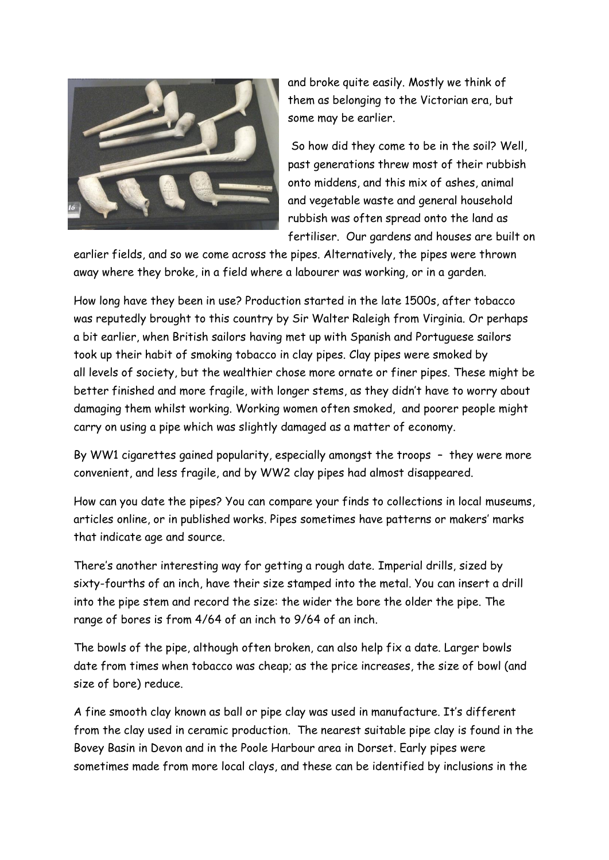

and broke quite easily. Mostly we think of them as belonging to the Victorian era, but some may be earlier.

So how did they come to be in the soil? Well, past generations threw most of their rubbish onto middens, and this mix of ashes, animal and vegetable waste and general household rubbish was often spread onto the land as fertiliser. Our gardens and houses are built on

earlier fields, and so we come across the pipes. Alternatively, the pipes were thrown away where they broke, in a field where a labourer was working, or in a garden.

How long have they been in use? Production started in the late 1500s, after tobacco was reputedly brought to this country by Sir Walter Raleigh from Virginia. Or perhaps a bit earlier, when British sailors having met up with Spanish and Portuguese sailors took up their habit of smoking tobacco in clay pipes. Clay pipes were smoked by all levels of society, but the wealthier chose more ornate or finer pipes. These might be better finished and more fragile, with longer stems, as they didn't have to worry about damaging them whilst working. Working women often smoked, and poorer people might carry on using a pipe which was slightly damaged as a matter of economy.

By WW1 cigarettes gained popularity, especially amongst the troops – they were more convenient, and less fragile, and by WW2 clay pipes had almost disappeared.

How can you date the pipes? You can compare your finds to collections in local museums, articles online, or in published works. Pipes sometimes have patterns or makers' marks that indicate age and source.

There's another interesting way for getting a rough date. Imperial drills, sized by sixty-fourths of an inch, have their size stamped into the metal. You can insert a drill into the pipe stem and record the size: the wider the bore the older the pipe. The range of bores is from 4/64 of an inch to 9/64 of an inch.

The bowls of the pipe, although often broken, can also help fix a date. Larger bowls date from times when tobacco was cheap; as the price increases, the size of bowl (and size of bore) reduce.

A fine smooth clay known as ball or pipe clay was used in manufacture. It's different from the clay used in ceramic production. The nearest suitable pipe clay is found in the Bovey Basin in Devon and in the Poole Harbour area in Dorset. Early pipes were sometimes made from more local clays, and these can be identified by inclusions in the